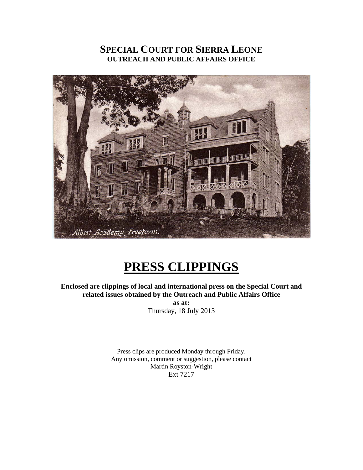# **SPECIAL COURT FOR SIERRA LEONE OUTREACH AND PUBLIC AFFAIRS OFFICE**



# **PRESS CLIPPINGS**

**Enclosed are clippings of local and international press on the Special Court and related issues obtained by the Outreach and Public Affairs Office as at:** 

Thursday, 18 July 2013

Press clips are produced Monday through Friday. Any omission, comment or suggestion, please contact Martin Royston-Wright Ext 7217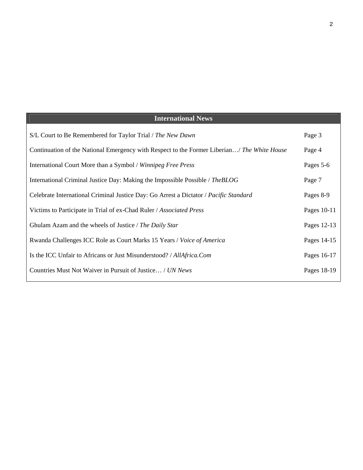| <b>International News</b> |  |
|---------------------------|--|
| Page 3                    |  |
| Page 4                    |  |
| Pages 5-6                 |  |
| Page 7                    |  |
| Pages 8-9                 |  |
| Pages 10-11               |  |
| Pages 12-13               |  |
| Pages 14-15               |  |
| Pages 16-17               |  |
| Pages 18-19               |  |
|                           |  |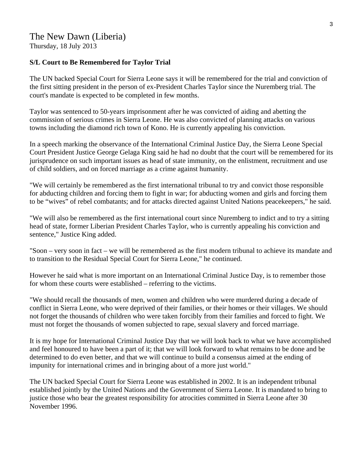# The New Dawn (Liberia) Thursday, 18 July 2013

#### **S/L Court to Be Remembered for Taylor Trial**

The UN backed Special Court for Sierra Leone says it will be remembered for the trial and conviction of the first sitting president in the person of ex-President Charles Taylor since the Nuremberg trial. The court's mandate is expected to be completed in few months.

Taylor was sentenced to 50-years imprisonment after he was convicted of aiding and abetting the commission of serious crimes in Sierra Leone. He was also convicted of planning attacks on various towns including the diamond rich town of Kono. He is currently appealing his conviction.

In a speech marking the observance of the International Criminal Justice Day, the Sierra Leone Special Court President Justice George Gelaga King said he had no doubt that the court will be remembered for its jurisprudence on such important issues as head of state immunity, on the enlistment, recruitment and use of child soldiers, and on forced marriage as a crime against humanity.

"We will certainly be remembered as the first international tribunal to try and convict those responsible for abducting children and forcing them to fight in war; for abducting women and girls and forcing them to be "wives" of rebel combatants; and for attacks directed against United Nations peacekeepers," he said.

"We will also be remembered as the first international court since Nuremberg to indict and to try a sitting head of state, former Liberian President Charles Taylor, who is currently appealing his conviction and sentence," Justice King added.

"Soon – very soon in fact – we will be remembered as the first modern tribunal to achieve its mandate and to transition to the Residual Special Court for Sierra Leone," he continued.

However he said what is more important on an International Criminal Justice Day, is to remember those for whom these courts were established – referring to the victims.

"We should recall the thousands of men, women and children who were murdered during a decade of conflict in Sierra Leone, who were deprived of their families, or their homes or their villages. We should not forget the thousands of children who were taken forcibly from their families and forced to fight. We must not forget the thousands of women subjected to rape, sexual slavery and forced marriage.

It is my hope for International Criminal Justice Day that we will look back to what we have accomplished and feel honoured to have been a part of it; that we will look forward to what remains to be done and be determined to do even better, and that we will continue to build a consensus aimed at the ending of impunity for international crimes and in bringing about of a more just world."

The UN backed Special Court for Sierra Leone was established in 2002. It is an independent tribunal established jointly by the United Nations and the Government of Sierra Leone. It is mandated to bring to justice those who bear the greatest responsibility for atrocities committed in Sierra Leone after 30 November 1996.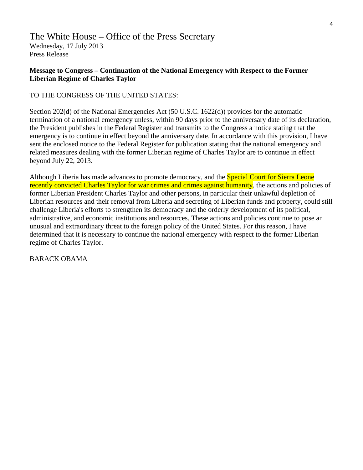# The White House – Office of the Press Secretary Wednesday, 17 July 2013 Press Release

#### **Message to Congress – Continuation of the National Emergency with Respect to the Former Liberian Regime of Charles Taylor**

#### TO THE CONGRESS OF THE UNITED STATES:

Section 202(d) of the National Emergencies Act (50 U.S.C. 1622(d)) provides for the automatic termination of a national emergency unless, within 90 days prior to the anniversary date of its declaration, the President publishes in the Federal Register and transmits to the Congress a notice stating that the emergency is to continue in effect beyond the anniversary date. In accordance with this provision, I have sent the enclosed notice to the Federal Register for publication stating that the national emergency and related measures dealing with the former Liberian regime of Charles Taylor are to continue in effect beyond July 22, 2013.

Although Liberia has made advances to promote democracy, and the **Special Court for Sierra Leone** recently convicted Charles Taylor for war crimes and crimes against humanity, the actions and policies of former Liberian President Charles Taylor and other persons, in particular their unlawful depletion of Liberian resources and their removal from Liberia and secreting of Liberian funds and property, could still challenge Liberia's efforts to strengthen its democracy and the orderly development of its political, administrative, and economic institutions and resources. These actions and policies continue to pose an unusual and extraordinary threat to the foreign policy of the United States. For this reason, I have determined that it is necessary to continue the national emergency with respect to the former Liberian regime of Charles Taylor.

BARACK OBAMA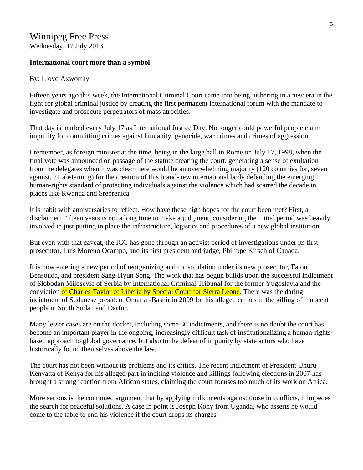# Winnipeg Free Press Wednesday, 17 July 2013

#### **International court more than a symbol**

#### By: Lloyd Axworthy

Fifteen years ago this week, the International Criminal Court came into being, ushering in a new era in the fight for global criminal justice by creating the first permanent international forum with the mandate to investigate and prosecute perpetrators of mass atrocities.

That day is marked every July 17 as International Justice Day. No longer could powerful people claim impunity for committing crimes against humanity, genocide, war crimes and crimes of aggression.

I remember, as foreign minister at the time, being in the large hall in Rome on July 17, 1998, when the final vote was announced on passage of the statute creating the court, generating a sense of exultation from the delegates when it was clear there would be an overwhelming majority (120 countries for, seven against, 21 abstaining) for the creation of this brand-new international body defending the emerging human-rights standard of protecting individuals against the violence which had scarred the decade in places like Rwanda and Srebrenica.

It is habit with anniversaries to reflect. How have these high hopes for the court been met? First, a disclaimer: Fifteen years is not a long time to make a judgment, considering the initial period was heavily involved in just putting in place the infrastructure, logistics and procedures of a new global institution.

But even with that caveat, the ICC has gone through an activist period of investigations under its first prosecutor, Luis Moreno Ocampo, and its first president and judge, Philippe Kirsch of Canada.

It is now entering a new period of reorganizing and consolidation under its new prosecutor, Fatou Bensouda, and president Sang-Hyun Song. The work that has begun builds upon the successful indictment of Slobodan Milosevic of Serbia by International Criminal Tribunal for the former Yugoslavia and the conviction of Charles Taylor of Liberia by Special Court for Sierra Leone. There was the daring indictment of Sudanese president Omar al-Bashir in 2009 for his alleged crimes in the killing of innocent people in South Sudan and Darfur.

Many lesser cases are on the docket, including some 30 indictments, and there is no doubt the court has become an important player in the ongoing, increasingly difficult task of institutionalizing a human-rightsbased approach to global governance, but also to the defeat of impunity by state actors who have historically found themselves above the law.

The court has not been without its problems and its critics. The recent indictment of President Uhuru Kenyatta of Kenya for his alleged part in inciting violence and killings following elections in 2007 has brought a strong reaction from African states, claiming the court focuses too much of its work on Africa.

More serious is the continued argument that by applying indictments against those in conflicts, it impedes the search for peaceful solutions. A case in point is Joseph Kony from Uganda, who asserts he would come to the table to end his violence if the court drops its charges.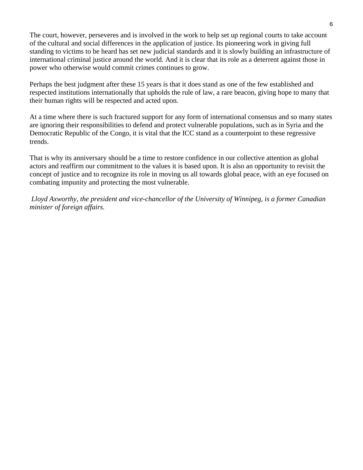The court, however, perseveres and is involved in the work to help set up regional courts to take account of the cultural and social differences in the application of justice. Its pioneering work in giving full standing to victims to be heard has set new judicial standards and it is slowly building an infrastructure of international criminal justice around the world. And it is clear that its role as a deterrent against those in power who otherwise would commit crimes continues to grow.

Perhaps the best judgment after these 15 years is that it does stand as one of the few established and respected institutions internationally that upholds the rule of law, a rare beacon, giving hope to many that their human rights will be respected and acted upon.

At a time where there is such fractured support for any form of international consensus and so many states are ignoring their responsibilities to defend and protect vulnerable populations, such as in Syria and the Democratic Republic of the Congo, it is vital that the ICC stand as a counterpoint to these regressive trends.

That is why its anniversary should be a time to restore confidence in our collective attention as global actors and reaffirm our commitment to the values it is based upon. It is also an opportunity to revisit the concept of justice and to recognize its role in moving us all towards global peace, with an eye focused on combating impunity and protecting the most vulnerable.

 *Lloyd Axworthy, the president and vice-chancellor of the University of Winnipeg, is a former Canadian minister of foreign affairs.*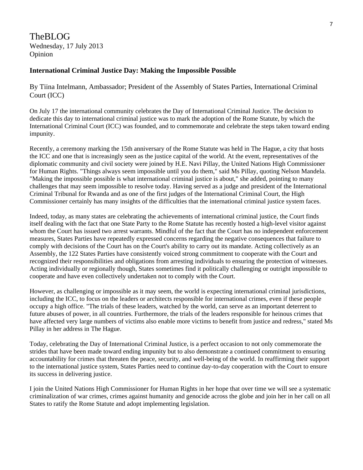TheBLOG Wednesday, 17 July 2013 Opinion

#### **International Criminal Justice Day: Making the Impossible Possible**

By Tiina Intelmann, Ambassador; President of the Assembly of States Parties, International Criminal Court (ICC)

On July 17 the international community celebrates the Day of International Criminal Justice. The decision to dedicate this day to international criminal justice was to mark the adoption of the Rome Statute, by which the International Criminal Court (ICC) was founded, and to commemorate and celebrate the steps taken toward ending impunity.

Recently, a ceremony marking the 15th anniversary of the Rome Statute was held in The Hague, a city that hosts the ICC and one that is increasingly seen as the justice capital of the world. At the event, representatives of the diplomatic community and civil society were joined by H.E. Navi Pillay, the United Nations High Commissioner for Human Rights. "Things always seem impossible until you do them," said Ms Pillay, quoting Nelson Mandela. "Making the impossible possible is what international criminal justice is about," she added, pointing to many challenges that may seem impossible to resolve today. Having served as a judge and president of the International Criminal Tribunal for Rwanda and as one of the first judges of the International Criminal Court, the High Commissioner certainly has many insights of the difficulties that the international criminal justice system faces.

Indeed, today, as many states are celebrating the achievements of international criminal justice, the Court finds itself dealing with the fact that one State Party to the Rome Statute has recently hosted a high-level visitor against whom the Court has issued two arrest warrants. Mindful of the fact that the Court has no independent enforcement measures, States Parties have repeatedly expressed concerns regarding the negative consequences that failure to comply with decisions of the Court has on the Court's ability to carry out its mandate. Acting collectively as an Assembly, the 122 States Parties have consistently voiced strong commitment to cooperate with the Court and recognized their responsibilities and obligations from arresting individuals to ensuring the protection of witnesses. Acting individually or regionally though, States sometimes find it politically challenging or outright impossible to cooperate and have even collectively undertaken not to comply with the Court.

However, as challenging or impossible as it may seem, the world is expecting international criminal jurisdictions, including the ICC, to focus on the leaders or architects responsible for international crimes, even if these people occupy a high office. "The trials of these leaders, watched by the world, can serve as an important deterrent to future abuses of power, in all countries. Furthermore, the trials of the leaders responsible for heinous crimes that have affected very large numbers of victims also enable more victims to benefit from justice and redress," stated Ms Pillay in her address in The Hague.

Today, celebrating the Day of International Criminal Justice, is a perfect occasion to not only commemorate the strides that have been made toward ending impunity but to also demonstrate a continued commitment to ensuring accountability for crimes that threaten the peace, security, and well-being of the world. In reaffirming their support to the international justice system, States Parties need to continue day-to-day cooperation with the Court to ensure its success in delivering justice.

I join the United Nations High Commissioner for Human Rights in her hope that over time we will see a systematic criminalization of war crimes, crimes against humanity and genocide across the globe and join her in her call on all States to ratify the Rome Statute and adopt implementing legislation.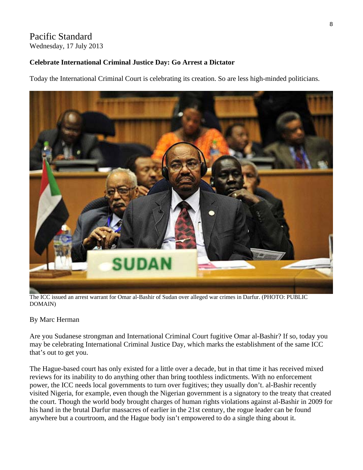# Pacific Standard Wednesday, 17 July 2013

# **Celebrate International Criminal Justice Day: Go Arrest a Dictator**

Today the International Criminal Court is celebrating its creation. So are less high-minded politicians.



The ICC issued an arrest warrant for Omar al-Bashir of Sudan over alleged war crimes in Darfur. (PHOTO: PUBLIC DOMAIN)

# By Marc Herman

Are you Sudanese strongman and International Criminal Court fugitive Omar al-Bashir? If so, today you may be celebrating International Criminal Justice Day, which marks the establishment of the same ICC that's out to get you.

The Hague-based court has only existed for a little over a decade, but in that time it has received mixed reviews for its inability to do anything other than bring toothless indictments. With no enforcement power, the ICC needs local governments to turn over fugitives; they usually don't. al-Bashir recently visited Nigeria, for example, even though the Nigerian government is a signatory to the treaty that created the court. Though the world body brought charges of human rights violations against al-Bashir in 2009 for his hand in the brutal Darfur massacres of earlier in the 21st century, the rogue leader can be found anywhere but a courtroom, and the Hague body isn't empowered to do a single thing about it.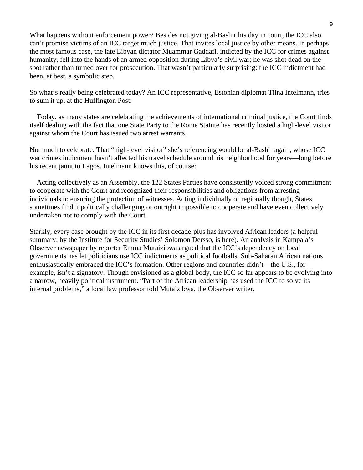What happens without enforcement power? Besides not giving al-Bashir his day in court, the ICC also can't promise victims of an ICC target much justice. That invites local justice by other means. In perhaps the most famous case, the late Libyan dictator Muammar Gaddafi, indicted by the ICC for crimes against humanity, fell into the hands of an armed opposition during Libya's civil war; he was shot dead on the spot rather than turned over for prosecution. That wasn't particularly surprising: the ICC indictment had been, at best, a symbolic step.

So what's really being celebrated today? An ICC representative, Estonian diplomat Tiina Intelmann, tries to sum it up, at the Huffington Post:

 Today, as many states are celebrating the achievements of international criminal justice, the Court finds itself dealing with the fact that one State Party to the Rome Statute has recently hosted a high-level visitor against whom the Court has issued two arrest warrants.

Not much to celebrate. That "high-level visitor" she's referencing would be al-Bashir again, whose ICC war crimes indictment hasn't affected his travel schedule around his neighborhood for years—long before his recent jaunt to Lagos. Intelmann knows this, of course:

 Acting collectively as an Assembly, the 122 States Parties have consistently voiced strong commitment to cooperate with the Court and recognized their responsibilities and obligations from arresting individuals to ensuring the protection of witnesses. Acting individually or regionally though, States sometimes find it politically challenging or outright impossible to cooperate and have even collectively undertaken not to comply with the Court.

Starkly, every case brought by the ICC in its first decade-plus has involved African leaders (a helpful summary, by the Institute for Security Studies' Solomon Dersso, is here). An analysis in Kampala's Observer newspaper by reporter Emma Mutaizibwa argued that the ICC's dependency on local governments has let politicians use ICC indictments as political footballs. Sub-Saharan African nations enthusiastically embraced the ICC's formation. Other regions and countries didn't—the U.S., for example, isn't a signatory. Though envisioned as a global body, the ICC so far appears to be evolving into a narrow, heavily political instrument. "Part of the African leadership has used the ICC to solve its internal problems," a local law professor told Mutaizibwa, the Observer writer.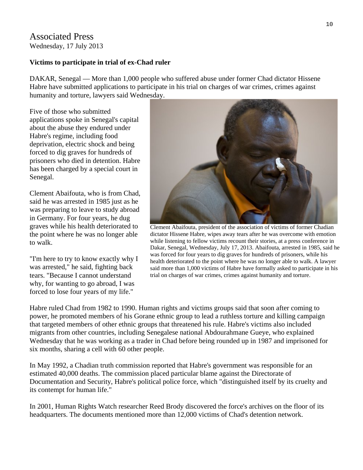# Associated Press Wednesday, 17 July 2013

### **Victims to participate in trial of ex-Chad ruler**

DAKAR, Senegal — More than 1,000 people who suffered abuse under former Chad dictator Hissene Habre have submitted applications to participate in his trial on charges of war crimes, crimes against humanity and torture, lawyers said Wednesday.

Five of those who submitted applications spoke in Senegal's capital about the abuse they endured under Habre's regime, including food deprivation, electric shock and being forced to dig graves for hundreds of prisoners who died in detention. Habre has been charged by a special court in Senegal.

Clement Abaifouta, who is from Chad, said he was arrested in 1985 just as he was preparing to leave to study abroad in Germany. For four years, he dug graves while his health deteriorated to the point where he was no longer able to walk.

"I'm here to try to know exactly why I was arrested," he said, fighting back tears. "Because I cannot understand why, for wanting to go abroad, I was forced to lose four years of my life."



Clement Abaifouta, president of the association of victims of former Chadian dictator Hissene Habre, wipes away tears after he was overcome with emotion while listening to fellow victims recount their stories, at a press conference in Dakar, Senegal, Wednesday, July 17, 2013. Abaifouta, arrested in 1985, said he was forced for four years to dig graves for hundreds of prisoners, while his health deteriorated to the point where he was no longer able to walk. A lawyer said more than 1,000 victims of Habre have formally asked to participate in his trial on charges of war crimes, crimes against humanity and torture.

Habre ruled Chad from 1982 to 1990. Human rights and victims groups said that soon after coming to power, he promoted members of his Gorane ethnic group to lead a ruthless torture and killing campaign that targeted members of other ethnic groups that threatened his rule. Habre's victims also included migrants from other countries, including Senegalese national Abdourahmane Gueye, who explained Wednesday that he was working as a trader in Chad before being rounded up in 1987 and imprisoned for six months, sharing a cell with 60 other people.

In May 1992, a Chadian truth commission reported that Habre's government was responsible for an estimated 40,000 deaths. The commission placed particular blame against the Directorate of Documentation and Security, Habre's political police force, which "distinguished itself by its cruelty and its contempt for human life."

In 2001, Human Rights Watch researcher Reed Brody discovered the force's archives on the floor of its headquarters. The documents mentioned more than 12,000 victims of Chad's detention network.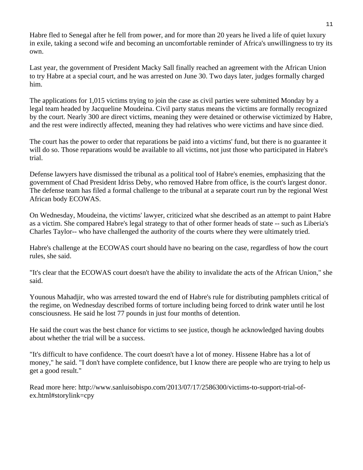Habre fled to Senegal after he fell from power, and for more than 20 years he lived a life of quiet luxury in exile, taking a second wife and becoming an uncomfortable reminder of Africa's unwillingness to try its own.

Last year, the government of President Macky Sall finally reached an agreement with the African Union to try Habre at a special court, and he was arrested on June 30. Two days later, judges formally charged him.

The applications for 1,015 victims trying to join the case as civil parties were submitted Monday by a legal team headed by Jacqueline Moudeina. Civil party status means the victims are formally recognized by the court. Nearly 300 are direct victims, meaning they were detained or otherwise victimized by Habre, and the rest were indirectly affected, meaning they had relatives who were victims and have since died.

The court has the power to order that reparations be paid into a victims' fund, but there is no guarantee it will do so. Those reparations would be available to all victims, not just those who participated in Habre's trial.

Defense lawyers have dismissed the tribunal as a political tool of Habre's enemies, emphasizing that the government of Chad President Idriss Deby, who removed Habre from office, is the court's largest donor. The defense team has filed a formal challenge to the tribunal at a separate court run by the regional West African body ECOWAS.

On Wednesday, Moudeina, the victims' lawyer, criticized what she described as an attempt to paint Habre as a victim. She compared Habre's legal strategy to that of other former heads of state -- such as Liberia's Charles Taylor-- who have challenged the authority of the courts where they were ultimately tried.

Habre's challenge at the ECOWAS court should have no bearing on the case, regardless of how the court rules, she said.

"It's clear that the ECOWAS court doesn't have the ability to invalidate the acts of the African Union," she said.

Younous Mahadjir, who was arrested toward the end of Habre's rule for distributing pamphlets critical of the regime, on Wednesday described forms of torture including being forced to drink water until he lost consciousness. He said he lost 77 pounds in just four months of detention.

He said the court was the best chance for victims to see justice, though he acknowledged having doubts about whether the trial will be a success.

"It's difficult to have confidence. The court doesn't have a lot of money. Hissene Habre has a lot of money," he said. "I don't have complete confidence, but I know there are people who are trying to help us get a good result."

Read more here: http://www.sanluisobispo.com/2013/07/17/2586300/victims-to-support-trial-ofex.html#storylink=cpy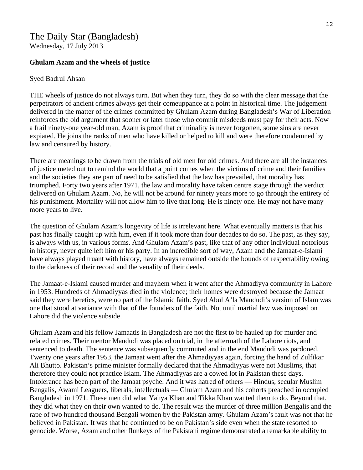# The Daily Star (Bangladesh) Wednesday, 17 July 2013

#### **Ghulam Azam and the wheels of justice**

#### Syed Badrul Ahsan

THE wheels of justice do not always turn. But when they turn, they do so with the clear message that the perpetrators of ancient crimes always get their comeuppance at a point in historical time. The judgement delivered in the matter of the crimes committed by Ghulam Azam during Bangladesh's War of Liberation reinforces the old argument that sooner or later those who commit misdeeds must pay for their acts. Now a frail ninety-one year-old man, Azam is proof that criminality is never forgotten, some sins are never expiated. He joins the ranks of men who have killed or helped to kill and were therefore condemned by law and censured by history.

There are meanings to be drawn from the trials of old men for old crimes. And there are all the instances of justice meted out to remind the world that a point comes when the victims of crime and their families and the societies they are part of need to be satisfied that the law has prevailed, that morality has triumphed. Forty two years after 1971, the law and morality have taken centre stage through the verdict delivered on Ghulam Azam. No, he will not be around for ninety years more to go through the entirety of his punishment. Mortality will not allow him to live that long. He is ninety one. He may not have many more years to live.

The question of Ghulam Azam's longevity of life is irrelevant here. What eventually matters is that his past has finally caught up with him, even if it took more than four decades to do so. The past, as they say, is always with us, in various forms. And Ghulam Azam's past, like that of any other individual notorious in history, never quite left him or his party. In an incredible sort of way, Azam and the Jamaat-e-Islami have always played truant with history, have always remained outside the bounds of respectability owing to the darkness of their record and the venality of their deeds.

The Jamaat-e-Islami caused murder and mayhem when it went after the Ahmadiyya community in Lahore in 1953. Hundreds of Ahmadiyyas died in the violence; their homes were destroyed because the Jamaat said they were heretics, were no part of the Islamic faith. Syed Abul A'la Maududi's version of Islam was one that stood at variance with that of the founders of the faith. Not until martial law was imposed on Lahore did the violence subside.

Ghulam Azam and his fellow Jamaatis in Bangladesh are not the first to be hauled up for murder and related crimes. Their mentor Maududi was placed on trial, in the aftermath of the Lahore riots, and sentenced to death. The sentence was subsequently commuted and in the end Maududi was pardoned. Twenty one years after 1953, the Jamaat went after the Ahmadiyyas again, forcing the hand of Zulfikar Ali Bhutto. Pakistan's prime minister formally declared that the Ahmadiyyas were not Muslims, that therefore they could not practice Islam. The Ahmadiyyas are a cowed lot in Pakistan these days. Intolerance has been part of the Jamaat psyche. And it was hatred of others — Hindus, secular Muslim Bengalis, Awami Leaguers, liberals, intellectuals — Ghulam Azam and his cohorts preached in occupied Bangladesh in 1971. These men did what Yahya Khan and Tikka Khan wanted them to do. Beyond that, they did what they on their own wanted to do. The result was the murder of three million Bengalis and the rape of two hundred thousand Bengali women by the Pakistan army. Ghulam Azam's fault was not that he believed in Pakistan. It was that he continued to be on Pakistan's side even when the state resorted to genocide. Worse, Azam and other flunkeys of the Pakistani regime demonstrated a remarkable ability to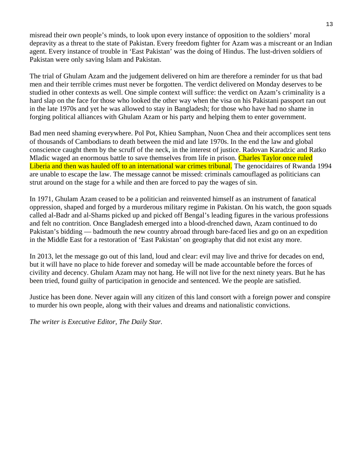misread their own people's minds, to look upon every instance of opposition to the soldiers' moral depravity as a threat to the state of Pakistan. Every freedom fighter for Azam was a miscreant or an Indian agent. Every instance of trouble in 'East Pakistan' was the doing of Hindus. The lust-driven soldiers of Pakistan were only saving Islam and Pakistan.

The trial of Ghulam Azam and the judgement delivered on him are therefore a reminder for us that bad men and their terrible crimes must never be forgotten. The verdict delivered on Monday deserves to be studied in other contexts as well. One simple context will suffice: the verdict on Azam's criminality is a hard slap on the face for those who looked the other way when the visa on his Pakistani passport ran out in the late 1970s and yet he was allowed to stay in Bangladesh; for those who have had no shame in forging political alliances with Ghulam Azam or his party and helping them to enter government.

Bad men need shaming everywhere. Pol Pot, Khieu Samphan, Nuon Chea and their accomplices sent tens of thousands of Cambodians to death between the mid and late 1970s. In the end the law and global conscience caught them by the scruff of the neck, in the interest of justice. Radovan Karadzic and Ratko Mladic waged an enormous battle to save themselves from life in prison. Charles Taylor once ruled Liberia and then was hauled off to an international war crimes tribunal. The genocidaires of Rwanda 1994 are unable to escape the law. The message cannot be missed: criminals camouflaged as politicians can strut around on the stage for a while and then are forced to pay the wages of sin.

In 1971, Ghulam Azam ceased to be a politician and reinvented himself as an instrument of fanatical oppression, shaped and forged by a murderous military regime in Pakistan. On his watch, the goon squads called al-Badr and al-Shams picked up and picked off Bengal's leading figures in the various professions and felt no contrition. Once Bangladesh emerged into a blood-drenched dawn, Azam continued to do Pakistan's bidding — badmouth the new country abroad through bare-faced lies and go on an expedition in the Middle East for a restoration of 'East Pakistan' on geography that did not exist any more.

In 2013, let the message go out of this land, loud and clear: evil may live and thrive for decades on end, but it will have no place to hide forever and someday will be made accountable before the forces of civility and decency. Ghulam Azam may not hang. He will not live for the next ninety years. But he has been tried, found guilty of participation in genocide and sentenced. We the people are satisfied.

Justice has been done. Never again will any citizen of this land consort with a foreign power and conspire to murder his own people, along with their values and dreams and nationalistic convictions.

*The writer is Executive Editor, The Daily Star.*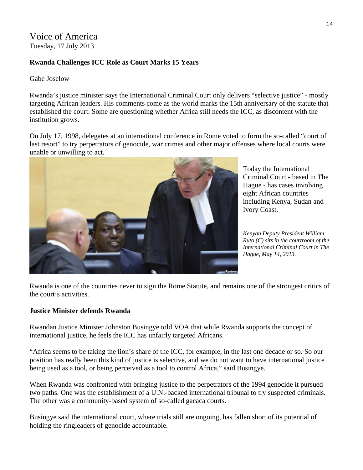Voice of America Tuesday, 17 July 2013

# **Rwanda Challenges ICC Role as Court Marks 15 Years**

Gabe Joselow

Rwanda's justice minister says the International Criminal Court only delivers "selective justice" - mostly targeting African leaders. His comments come as the world marks the 15th anniversary of the statute that established the court. Some are questioning whether Africa still needs the ICC, as discontent with the institution grows.

On July 17, 1998, delegates at an international conference in Rome voted to form the so-called "court of last resort" to try perpetrators of genocide, war crimes and other major offenses where local courts were unable or unwilling to act.



Today the International Criminal Court - based in The Hague - has cases involving eight African countries including Kenya, Sudan and Ivory Coast.

*Kenyan Deputy President William Ruto (C) sits in the courtroom of the International Criminal Court in The Hague, May 14, 2013.* 

Rwanda is one of the countries never to sign the Rome Statute, and remains one of the strongest critics of the court's activities.

#### **Justice Minister defends Rwanda**

Rwandan Justice Minister Johnston Busingye told VOA that while Rwanda supports the concept of international justice, he feels the ICC has unfairly targeted Africans.

"Africa seems to be taking the lion's share of the ICC, for example, in the last one decade or so. So our position has really been this kind of justice is selective, and we do not want to have international justice being used as a tool, or being perceived as a tool to control Africa," said Busingye.

When Rwanda was confronted with bringing justice to the perpetrators of the 1994 genocide it pursued two paths. One was the establishment of a U.N.-backed international tribunal to try suspected criminals. The other was a community-based system of so-called gacaca courts.

Busingye said the international court, where trials still are ongoing, has fallen short of its potential of holding the ringleaders of genocide accountable.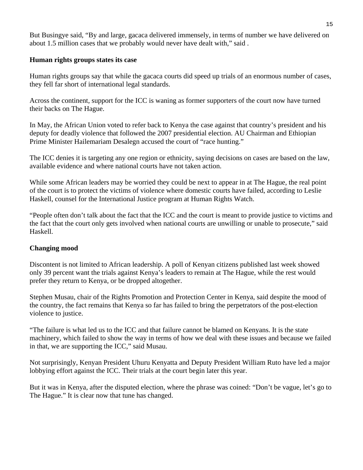But Busingye said, "By and large, gacaca delivered immensely, in terms of number we have delivered on about 1.5 million cases that we probably would never have dealt with," said .

#### **Human rights groups states its case**

Human rights groups say that while the gacaca courts did speed up trials of an enormous number of cases, they fell far short of international legal standards.

Across the continent, support for the ICC is waning as former supporters of the court now have turned their backs on The Hague.

In May, the African Union voted to refer back to Kenya the case against that country's president and his deputy for deadly violence that followed the 2007 presidential election. AU Chairman and Ethiopian Prime Minister Hailemariam Desalegn accused the court of "race hunting."

The ICC denies it is targeting any one region or ethnicity, saying decisions on cases are based on the law, available evidence and where national courts have not taken action.

While some African leaders may be worried they could be next to appear in at The Hague, the real point of the court is to protect the victims of violence where domestic courts have failed, according to Leslie Haskell, counsel for the International Justice program at Human Rights Watch.

"People often don't talk about the fact that the ICC and the court is meant to provide justice to victims and the fact that the court only gets involved when national courts are unwilling or unable to prosecute," said Haskell.

# **Changing mood**

Discontent is not limited to African leadership. A poll of Kenyan citizens published last week showed only 39 percent want the trials against Kenya's leaders to remain at The Hague, while the rest would prefer they return to Kenya, or be dropped altogether.

Stephen Musau, chair of the Rights Promotion and Protection Center in Kenya, said despite the mood of the country, the fact remains that Kenya so far has failed to bring the perpetrators of the post-election violence to justice.

"The failure is what led us to the ICC and that failure cannot be blamed on Kenyans. It is the state machinery, which failed to show the way in terms of how we deal with these issues and because we failed in that, we are supporting the ICC," said Musau.

Not surprisingly, Kenyan President Uhuru Kenyatta and Deputy President William Ruto have led a major lobbying effort against the ICC. Their trials at the court begin later this year.

But it was in Kenya, after the disputed election, where the phrase was coined: "Don't be vague, let's go to The Hague." It is clear now that tune has changed.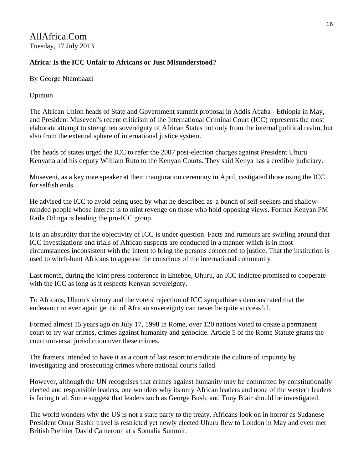AllAfrica.Com Tuesday, 17 July 2013

# **Africa: Is the ICC Unfair to Africans or Just Misunderstood?**

By George Ntambaazi

Opinion

The African Union heads of State and Government summit proposal in Addis Ababa - Ethiopia in May, and President Museveni's recent criticism of the International Criminal Court (ICC) represents the most elaborate attempt to strengthen sovereignty of African States not only from the internal political realm, but also from the external sphere of international justice system.

The heads of states urged the ICC to refer the 2007 post-election charges against President Uhuru Kenyatta and his deputy William Ruto to the Kenyan Courts. They said Kenya has a credible judiciary.

Museveni, as a key note speaker at their inauguration ceremony in April, castigated those using the ICC for selfish ends.

He advised the ICC to avoid being used by what he described as 'a bunch of self-seekers and shallowminded people whose interest is to mint revenge on those who hold opposing views. Former Kenyan PM Raila Odinga is leading the pro-ICC group.

It is an absurdity that the objectivity of ICC is under question. Facts and rumours are swirling around that ICC investigations and trials of African suspects are conducted in a manner which is in most circumstances inconsistent with the intent to bring the persons concerned to justice. That the institution is used to witch-hunt Africans to appease the conscious of the international community

Last month, during the joint press conference in Entebbe, Uhuru, an ICC indictee promised to cooperate with the ICC as long as it respects Kenyan sovereignty.

To Africans, Uhuru's victory and the voters' rejection of ICC sympathisers demonstrated that the endeavour to ever again get rid of African sovereignty can never be quite successful.

Formed almost 15 years ago on July 17, 1998 in Rome, over 120 nations voted to create a permanent court to try war crimes, crimes against humanity and genocide. Article 5 of the Rome Statute grants the court universal jurisdiction over these crimes.

The framers intended to have it as a court of last resort to eradicate the culture of impunity by investigating and prosecuting crimes where national courts failed.

However, although the UN recognises that crimes against humanity may be committed by constitutionally elected and responsible leaders, one wonders why its only African leaders and none of the western leaders is facing trial. Some suggest that leaders such as George Bush, and Tony Blair should be investigated.

The world wonders why the US is not a state party to the treaty. Africans look on in horror as Sudanese President Omar Bashir travel is restricted yet newly elected Uhuru flew to London in May and even met British Premier David Cameroon at a Somalia Summit.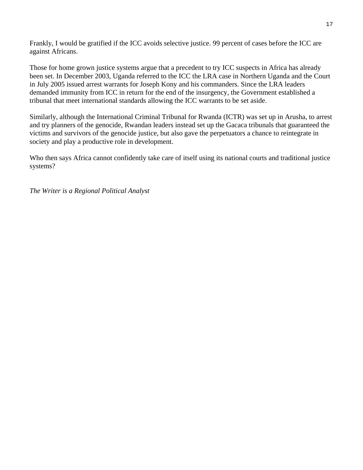Frankly, I would be gratified if the ICC avoids selective justice. 99 percent of cases before the ICC are against Africans.

Those for home grown justice systems argue that a precedent to try ICC suspects in Africa has already been set. In December 2003, Uganda referred to the ICC the LRA case in Northern Uganda and the Court in July 2005 issued arrest warrants for Joseph Kony and his commanders. Since the LRA leaders demanded immunity from ICC in return for the end of the insurgency, the Government established a tribunal that meet international standards allowing the ICC warrants to be set aside.

Similarly, although the International Criminal Tribunal for Rwanda (ICTR) was set up in Arusha, to arrest and try planners of the genocide, Rwandan leaders instead set up the Gacaca tribunals that guaranteed the victims and survivors of the genocide justice, but also gave the perpetuators a chance to reintegrate in society and play a productive role in development.

Who then says Africa cannot confidently take care of itself using its national courts and traditional justice systems?

*The Writer is a Regional Political Analyst*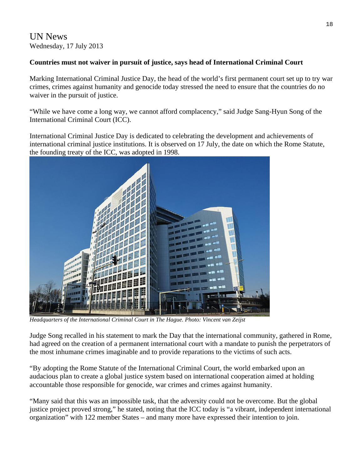UN News Wednesday, 17 July 2013

# **Countries must not waiver in pursuit of justice, says head of International Criminal Court**

Marking International Criminal Justice Day, the head of the world's first permanent court set up to try war crimes, crimes against humanity and genocide today stressed the need to ensure that the countries do no waiver in the pursuit of justice.

"While we have come a long way, we cannot afford complacency," said Judge Sang-Hyun Song of the International Criminal Court (ICC).

International Criminal Justice Day is dedicated to celebrating the development and achievements of international criminal justice institutions. It is observed on 17 July, the date on which the Rome Statute, the founding treaty of the ICC, was adopted in 1998.



*Headquarters of the International Criminal Court in The Hague. Photo: Vincent van Zeijst* 

Judge Song recalled in his statement to mark the Day that the international community, gathered in Rome, had agreed on the creation of a permanent international court with a mandate to punish the perpetrators of the most inhumane crimes imaginable and to provide reparations to the victims of such acts.

"By adopting the Rome Statute of the International Criminal Court, the world embarked upon an audacious plan to create a global justice system based on international cooperation aimed at holding accountable those responsible for genocide, war crimes and crimes against humanity.

"Many said that this was an impossible task, that the adversity could not be overcome. But the global justice project proved strong," he stated, noting that the ICC today is "a vibrant, independent international organization" with 122 member States – and many more have expressed their intention to join.